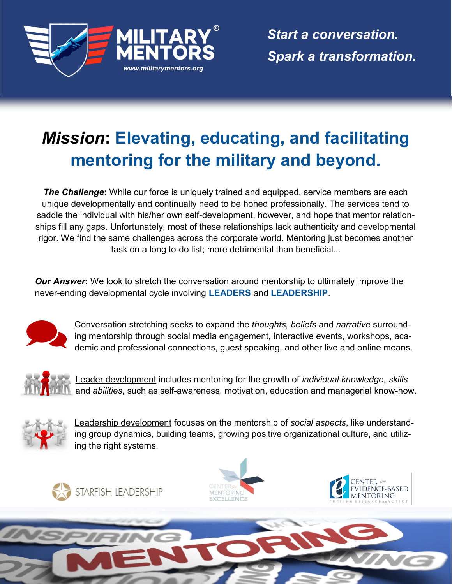

*Start a conversation. Spark a transformation.*

## *Mission***: Elevating, educating, and facilitating mentoring for the military and beyond.**

**The Challenge:** While our force is uniquely trained and equipped, service members are each unique developmentally and continually need to be honed professionally. The services tend to saddle the individual with his/her own self-development, however, and hope that mentor relationships fill any gaps. Unfortunately, most of these relationships lack authenticity and developmental rigor. We find the same challenges across the corporate world. Mentoring just becomes another task on a long to-do list; more detrimental than beneficial...

*Our Answer*: We look to stretch the conversation around mentorship to ultimately improve the never-ending developmental cycle involving **LEADERS** and **LEADERSHIP**.



Conversation stretching seeks to expand the *thoughts, beliefs* and *narrative* surrounding mentorship through social media engagement, interactive events, workshops, academic and professional connections, guest speaking, and other live and online means.



Leader development includes mentoring for the growth of *individual knowledge, skills*  and *abilities*, such as self-awareness, motivation, education and managerial know-how.



Leadership development focuses on the mentorship of *social aspects*, like understanding group dynamics, building teams, growing positive organizational culture, and utilizing the right systems.